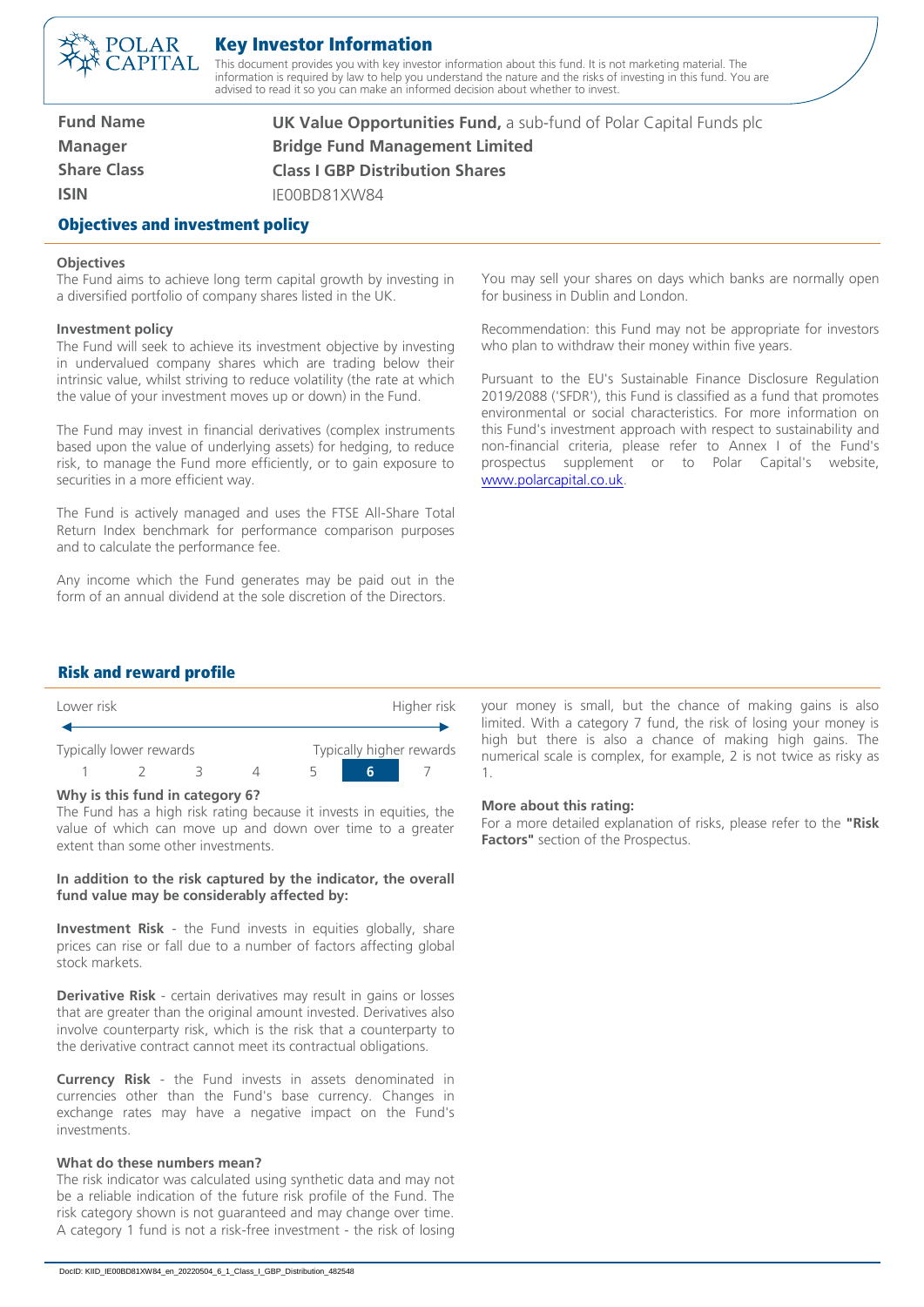

# Key Investor Information

This document provides you with key investor information about this fund. It is not marketing material. The information is required by law to help you understand the nature and the risks of investing in this fund. You are advised to read it so you can make an informed decision about whether to invest.

| <b>Fund Name</b>                        | <b>UK Value Opportunities Fund, a sub-fund of Polar Capital Funds plc</b> |  |
|-----------------------------------------|---------------------------------------------------------------------------|--|
| <b>Manager</b>                          | <b>Bridge Fund Management Limited</b>                                     |  |
| <b>Share Class</b>                      | <b>Class I GBP Distribution Shares</b>                                    |  |
| <b>ISIN</b>                             | IFOOBD81XW84                                                              |  |
| <b>Objectives and investment policy</b> |                                                                           |  |

#### **Objectives**

The Fund aims to achieve long term capital growth by investing in a diversified portfolio of company shares listed in the UK.

#### **Investment policy**

The Fund will seek to achieve its investment objective by investing in undervalued company shares which are trading below their intrinsic value, whilst striving to reduce volatility (the rate at which the value of your investment moves up or down) in the Fund.

The Fund may invest in financial derivatives (complex instruments based upon the value of underlying assets) for hedging, to reduce risk, to manage the Fund more efficiently, or to gain exposure to securities in a more efficient way.

The Fund is actively managed and uses the FTSE All-Share Total Return Index benchmark for performance comparison purposes and to calculate the performance fee.

Any income which the Fund generates may be paid out in the form of an annual dividend at the sole discretion of the Directors.

You may sell your shares on days which banks are normally open for business in Dublin and London.

Recommendation: this Fund may not be appropriate for investors who plan to withdraw their money within five years.

Pursuant to the EU's Sustainable Finance Disclosure Regulation 2019/2088 ('SFDR'), this Fund is classified as a fund that promotes environmental or social characteristics. For more information on this Fund's investment approach with respect to sustainability and non-financial criteria, please refer to Annex I of the Fund's prospectus supplement or to Polar Capital's website, [www.polarcapital.co.uk.](http://www.polarcapital.co.uk/)

## Risk and reward profile

| Lower risk              |  |  |  | Higher risk              |   |  |
|-------------------------|--|--|--|--------------------------|---|--|
|                         |  |  |  |                          |   |  |
| Typically lower rewards |  |  |  | Typically higher rewards |   |  |
|                         |  |  |  |                          | h |  |

#### **Why is this fund in category 6?**

The Fund has a high risk rating because it invests in equities, the value of which can move up and down over time to a greater extent than some other investments.

### **In addition to the risk captured by the indicator, the overall fund value may be considerably affected by:**

**Investment Risk** - the Fund invests in equities globally, share prices can rise or fall due to a number of factors affecting global stock markets.

**Derivative Risk** - certain derivatives may result in gains or losses that are greater than the original amount invested. Derivatives also involve counterparty risk, which is the risk that a counterparty to the derivative contract cannot meet its contractual obligations.

**Currency Risk** - the Fund invests in assets denominated in currencies other than the Fund's base currency. Changes in exchange rates may have a negative impact on the Fund's investments.

### **What do these numbers mean?**

The risk indicator was calculated using synthetic data and may not be a reliable indication of the future risk profile of the Fund. The risk category shown is not guaranteed and may change over time. A category 1 fund is not a risk-free investment - the risk of losing

your money is small, but the chance of making gains is also limited. With a category 7 fund, the risk of losing your money is high but there is also a chance of making high gains. The numerical scale is complex, for example, 2 is not twice as risky as 1.

#### **More about this rating:**

For a more detailed explanation of risks, please refer to the **"Risk Factors"** section of the Prospectus.